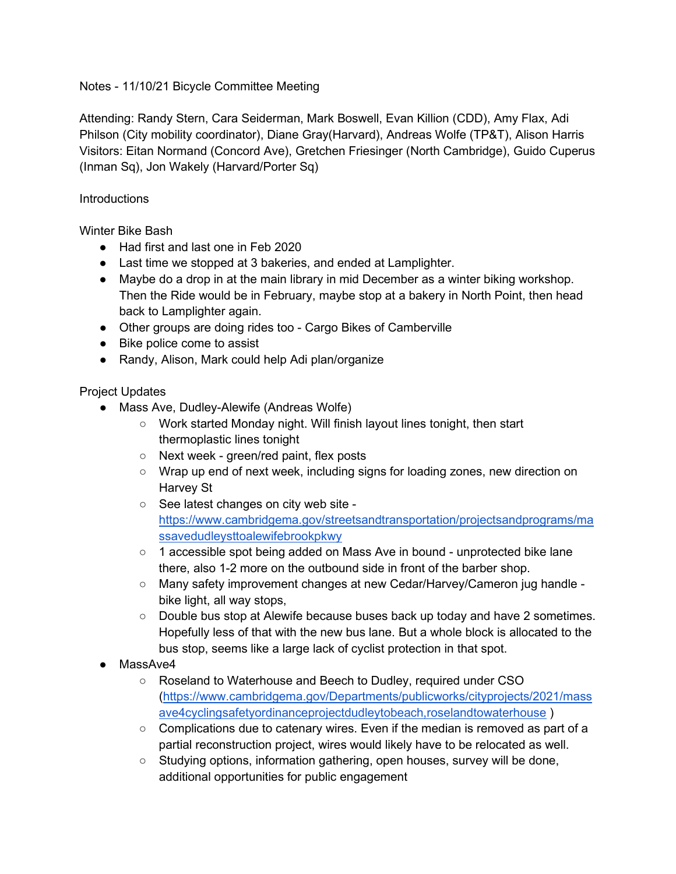Notes - 11/10/21 Bicycle Committee Meeting

Attending: Randy Stern, Cara Seiderman, Mark Boswell, Evan Killion (CDD), Amy Flax, Adi Philson (City mobility coordinator), Diane Gray(Harvard), Andreas Wolfe (TP&T), Alison Harris Visitors: Eitan Normand (Concord Ave), Gretchen Friesinger (North Cambridge), Guido Cuperus (Inman Sq), Jon Wakely (Harvard/Porter Sq)

**Introductions** 

Winter Bike Bash

- Had first and last one in Feb 2020
- Last time we stopped at 3 bakeries, and ended at Lamplighter.
- Maybe do a drop in at the main library in mid December as a winter biking workshop. Then the Ride would be in February, maybe stop at a bakery in North Point, then head back to Lamplighter again.
- Other groups are doing rides too Cargo Bikes of Camberville
- Bike police come to assist
- Randy, Alison, Mark could help Adi plan/organize

Project Updates

- Mass Ave, Dudley-Alewife (Andreas Wolfe)
	- Work started Monday night. Will finish layout lines tonight, then start thermoplastic lines tonight
	- Next week green/red paint, flex posts
	- Wrap up end of next week, including signs for loading zones, new direction on Harvey St
	- See latest changes on city web site [https://www.cambridgema.gov/streetsandtransportation/projectsandprograms/ma](https://www.cambridgema.gov/streetsandtransportation/projectsandprograms/massavedudleysttoalewifebrookpkwy) [ssavedudleysttoalewifebrookpkwy](https://www.cambridgema.gov/streetsandtransportation/projectsandprograms/massavedudleysttoalewifebrookpkwy)
	- 1 accessible spot being added on Mass Ave in bound unprotected bike lane there, also 1-2 more on the outbound side in front of the barber shop.
	- Many safety improvement changes at new Cedar/Harvey/Cameron jug handle bike light, all way stops,
	- Double bus stop at Alewife because buses back up today and have 2 sometimes. Hopefully less of that with the new bus lane. But a whole block is allocated to the bus stop, seems like a large lack of cyclist protection in that spot.
- MassAve4
	- Roseland to Waterhouse and Beech to Dudley, required under CSO [\(https://www.cambridgema.gov/Departments/publicworks/cityprojects/2021/mass](https://www.cambridgema.gov/Departments/publicworks/cityprojects/2021/massave4cyclingsafetyordinanceprojectdudleytobeach,roselandtowaterhouse) [ave4cyclingsafetyordinanceprojectdudleytobeach,roselandtowaterhouse](https://www.cambridgema.gov/Departments/publicworks/cityprojects/2021/massave4cyclingsafetyordinanceprojectdudleytobeach,roselandtowaterhouse) )
	- Complications due to catenary wires. Even if the median is removed as part of a partial reconstruction project, wires would likely have to be relocated as well.
	- Studying options, information gathering, open houses, survey will be done, additional opportunities for public engagement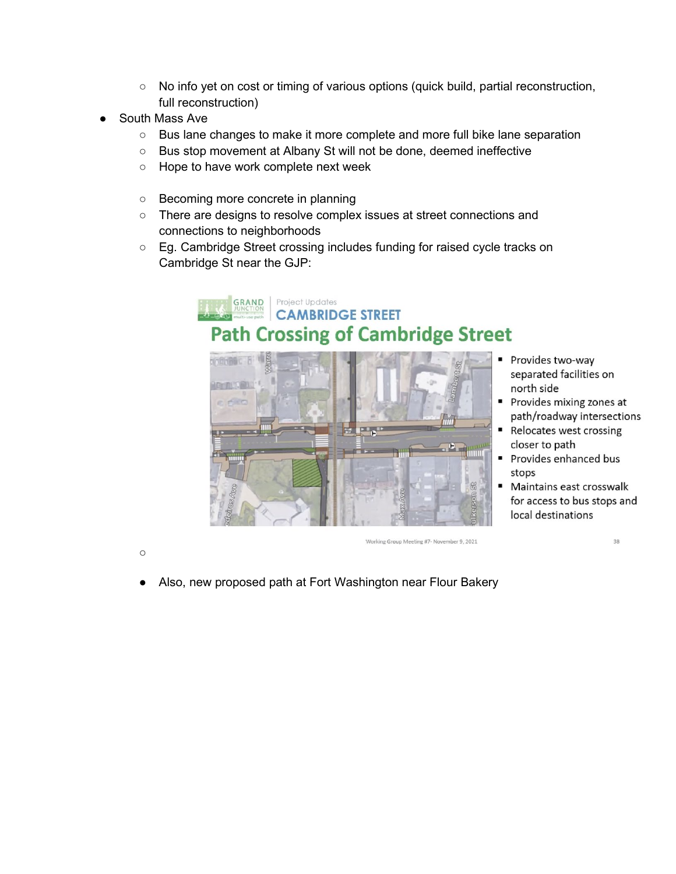- No info yet on cost or timing of various options (quick build, partial reconstruction, full reconstruction)
- South Mass Ave
	- Bus lane changes to make it more complete and more full bike lane separation
	- Bus stop movement at Albany St will not be done, deemed ineffective
	- Hope to have work complete next week
	- Becoming more concrete in planning
	- There are designs to resolve complex issues at street connections and connections to neighborhoods
	- Eg. Cambridge Street crossing includes funding for raised cycle tracks on Cambridge St near the GJP:



 $\circ$ 

Working Group Meeting #7- November 9, 2021

Also, new proposed path at Fort Washington near Flour Bakery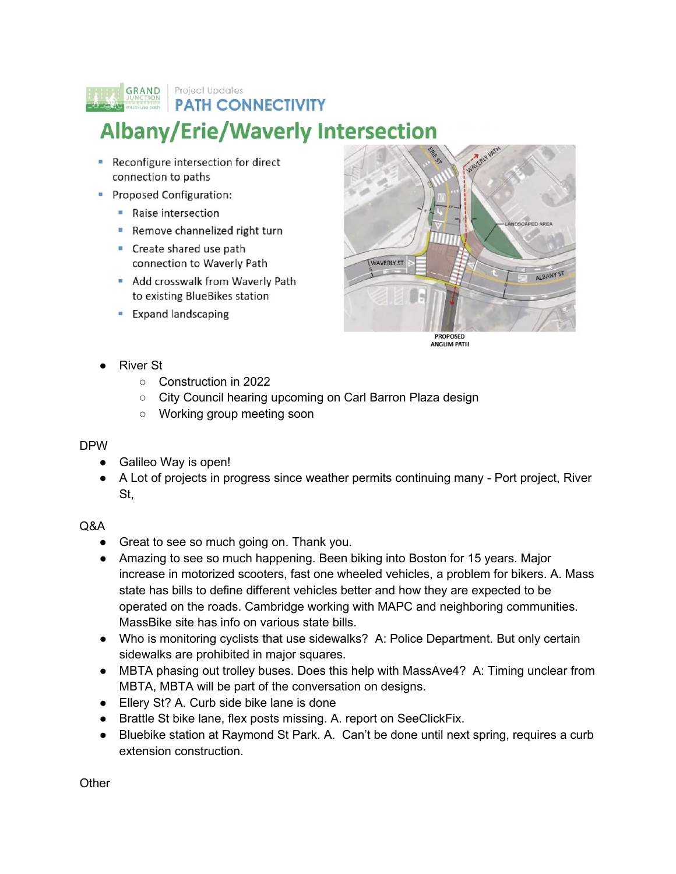## **GRAND** Project Updates **PATH CONNECTIVITY**

## **Albany/Erie/Waverly Intersection**

- Reconfigure intersection for direct connection to paths
- Proposed Configuration:
	- Raise intersection
	- Remove channelized right turn
	- Create shared use path connection to Waverly Path
	- Add crosswalk from Waverly Path to existing BlueBikes station
	- **Expand landscaping**



**PROPOSED ANGLIM PATH** 

- **River St** 
	- Construction in 2022
	- City Council hearing upcoming on Carl Barron Plaza design
	- Working group meeting soon

## DPW

- Galileo Way is open!
- A Lot of projects in progress since weather permits continuing many Port project, River St,

## Q&A

- Great to see so much going on. Thank you.
- Amazing to see so much happening. Been biking into Boston for 15 years. Major increase in motorized scooters, fast one wheeled vehicles, a problem for bikers. A. Mass state has bills to define different vehicles better and how they are expected to be operated on the roads. Cambridge working with MAPC and neighboring communities. MassBike site has info on various state bills.
- Who is monitoring cyclists that use sidewalks? A: Police Department. But only certain sidewalks are prohibited in major squares.
- MBTA phasing out trolley buses. Does this help with MassAve4? A: Timing unclear from MBTA, MBTA will be part of the conversation on designs.
- Ellery St? A. Curb side bike lane is done
- Brattle St bike lane, flex posts missing. A. report on SeeClickFix.
- Bluebike station at Raymond St Park. A. Can't be done until next spring, requires a curb extension construction.

**Other**